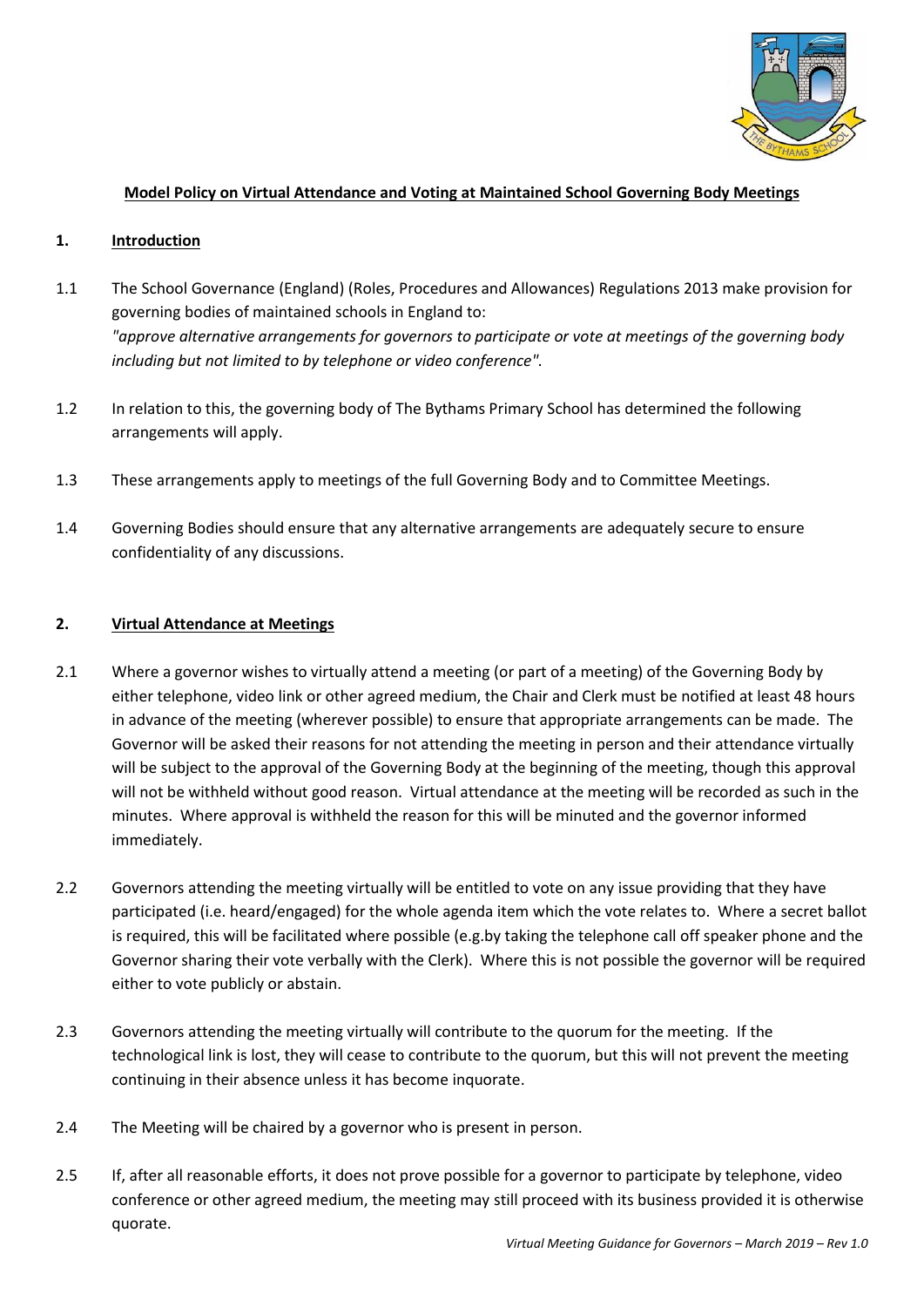

# **Model Policy on Virtual Attendance and Voting at Maintained School Governing Body Meetings**

# **1. Introduction**

- 1.1 The School Governance (England) (Roles, Procedures and Allowances) Regulations 2013 make provision for governing bodies of maintained schools in England to: *"approve alternative arrangements for governors to participate or vote at meetings of the governing body including but not limited to by telephone or video conference".*
- 1.2 In relation to this, the governing body of The Bythams Primary School has determined the following arrangements will apply.
- 1.3 These arrangements apply to meetings of the full Governing Body and to Committee Meetings.
- 1.4 Governing Bodies should ensure that any alternative arrangements are adequately secure to ensure confidentiality of any discussions.

# **2. Virtual Attendance at Meetings**

- 2.1 Where a governor wishes to virtually attend a meeting (or part of a meeting) of the Governing Body by either telephone, video link or other agreed medium, the Chair and Clerk must be notified at least 48 hours in advance of the meeting (wherever possible) to ensure that appropriate arrangements can be made. The Governor will be asked their reasons for not attending the meeting in person and their attendance virtually will be subject to the approval of the Governing Body at the beginning of the meeting, though this approval will not be withheld without good reason. Virtual attendance at the meeting will be recorded as such in the minutes. Where approval is withheld the reason for this will be minuted and the governor informed immediately.
- 2.2 Governors attending the meeting virtually will be entitled to vote on any issue providing that they have participated (i.e. heard/engaged) for the whole agenda item which the vote relates to. Where a secret ballot is required, this will be facilitated where possible (e.g.by taking the telephone call off speaker phone and the Governor sharing their vote verbally with the Clerk). Where this is not possible the governor will be required either to vote publicly or abstain.
- 2.3 Governors attending the meeting virtually will contribute to the quorum for the meeting. If the technological link is lost, they will cease to contribute to the quorum, but this will not prevent the meeting continuing in their absence unless it has become inquorate.
- 2.4 The Meeting will be chaired by a governor who is present in person.
- 2.5 If, after all reasonable efforts, it does not prove possible for a governor to participate by telephone, video conference or other agreed medium, the meeting may still proceed with its business provided it is otherwise quorate.